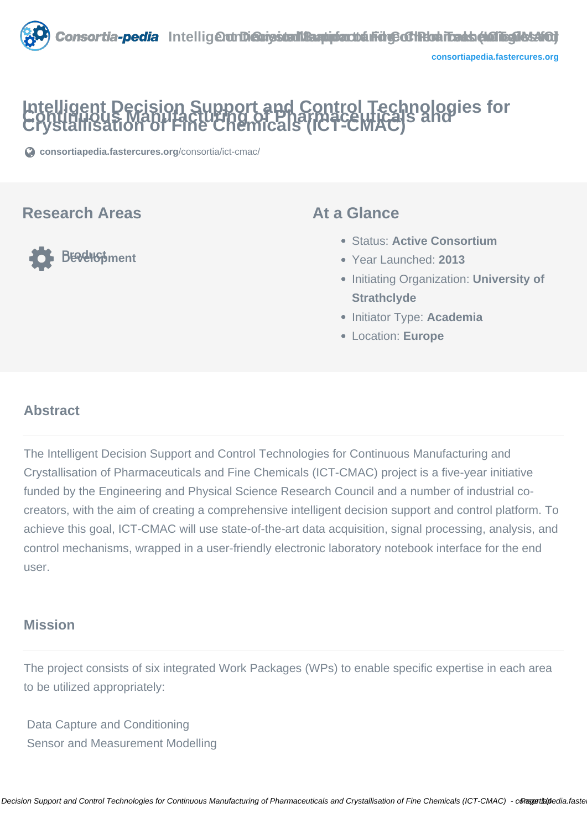# **Intelligent Decision Support and Control Technologies for Continuous Manufacturing of Pharmaceuticals and Crystallisation of Fine Chemicals (ICT-CMAC)**

**[consortiapedia.fastercures.org](https://consortiapedia.fastercures.org/consortia/ict-cmac/)**[/consortia/ict-cmac/](https://consortiapedia.fastercures.org/consortia/ict-cmac/)

## **Research Areas**

**PERENS**pment

### **At a Glance**

- Status: **Active Consortium**
- Year Launched: **2013**
- **Initiating Organization: University of Strathclyde**
- **Initiator Type: Academia**
- Location: **Europe**

#### $\overline{a}$ **Abstract**

The Intelligent Decision Support and Control Technologies for Continuous Manufacturing and Crystallisation of Pharmaceuticals and Fine Chemicals (ICT-CMAC) project is a five-year initiative funded by the Engineering and Physical Science Research Council and a number of industrial cocreators, with the aim of creating a comprehensive intelligent decision support and control platform. To achieve this goal, ICT-CMAC will use state-of-the-art data acquisition, signal processing, analysis, and control mechanisms, wrapped in a user-friendly electronic laboratory notebook interface for the end user.

## **Mission**

The project consists of six integrated Work Packages (WPs) to enable specific expertise in each area to be utilized appropriately:

 Data Capture and Conditioning Sensor and Measurement Modelling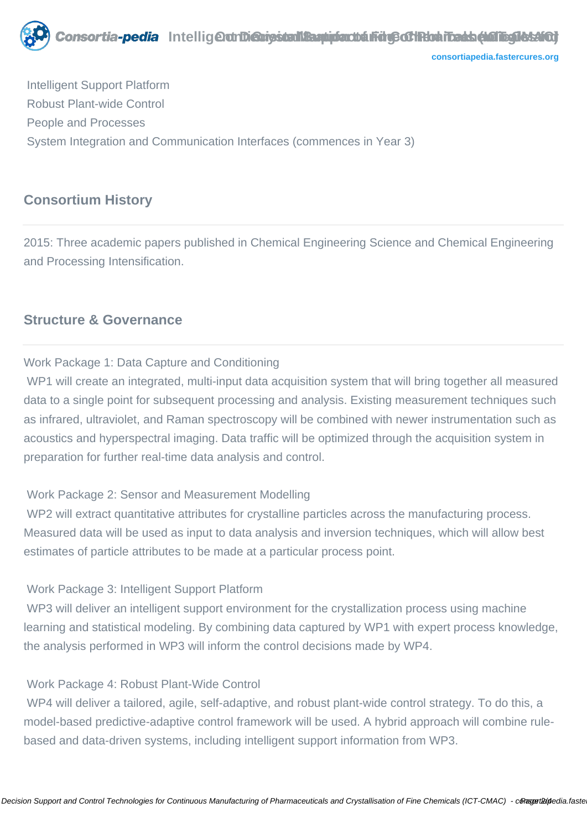

**[consortiapedia.fastercures.org](http://consortiapedia.fastercures.org/)**

 Intelligent Support Platform Robust Plant-wide Control People and Processes System Integration and Communication Interfaces (commences in Year 3)

## **Consortium History**

2015: Three academic papers published in Chemical Engineering Science and Chemical Engineering and Processing Intensification.

# **Structure & Governance**

#### Work Package 1: Data Capture and Conditioning

WP1 will create an integrated, multi-input data acquisition system that will bring together all measured data to a single point for subsequent processing and analysis. Existing measurement techniques such as infrared, ultraviolet, and Raman spectroscopy will be combined with newer instrumentation such as acoustics and hyperspectral imaging. Data traffic will be optimized through the acquisition system in preparation for further real-time data analysis and control.

#### Work Package 2: Sensor and Measurement Modelling

WP2 will extract quantitative attributes for crystalline particles across the manufacturing process. Measured data will be used as input to data analysis and inversion techniques, which will allow best estimates of particle attributes to be made at a particular process point.

#### Work Package 3: Intelligent Support Platform

WP3 will deliver an intelligent support environment for the crystallization process using machine learning and statistical modeling. By combining data captured by WP1 with expert process knowledge, the analysis performed in WP3 will inform the control decisions made by WP4.

#### Work Package 4: Robust Plant-Wide Control

 WP4 will deliver a tailored, agile, self-adaptive, and robust plant-wide control strategy. To do this, a model-based predictive-adaptive control framework will be used. A hybrid approach will combine rulebased and data-driven systems, including intelligent support information from WP3.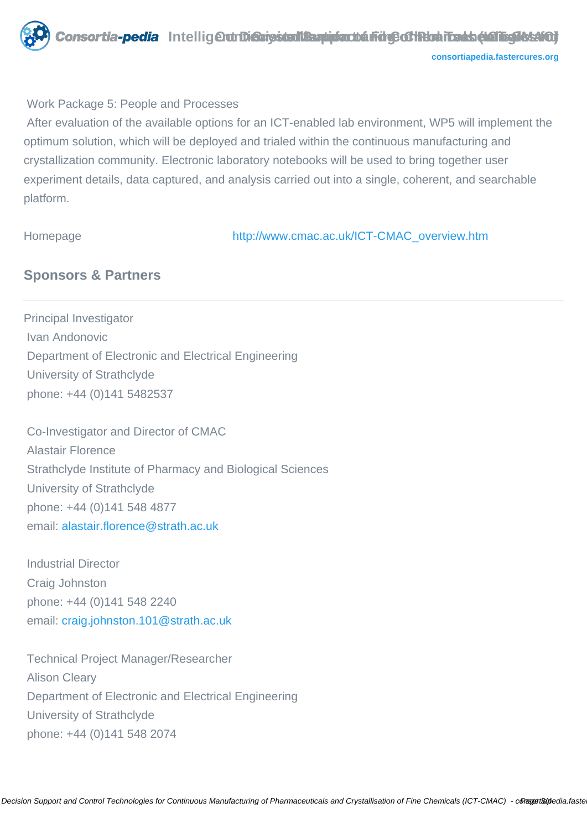

#### Work Package 5: People and Processes

 After evaluation of the available options for an ICT-enabled lab environment, WP5 will implement the optimum solution, which will be deployed and trialed within the continuous manufacturing and crystallization community. Electronic laboratory notebooks will be used to bring together user experiment details, data captured, and analysis carried out into a single, coherent, and searchable platform.

Homepage [http://www.cmac.ac.uk/ICT-CMAC\\_overview.htm](http://www.cmac.ac.uk/ICT-CMAC_overview.htm)

## **Sponsors & Partners**

Principal Investigator Ivan Andonovic Department of Electronic and Electrical Engineering University of Strathclyde phone: +44 (0)141 5482537

 Co-Investigator and Director of CMAC Alastair Florence Strathclyde Institute of Pharmacy and Biological Sciences University of Strathclyde phone: +44 (0)141 548 4877 email: [alastair.florence@strath.ac.uk](mailto:alastair.florence@strath.ac.uk)

 Industrial Director Craig Johnston phone: +44 (0)141 548 2240 email: [craig.johnston.101@strath.ac.uk](mailto:craig.johnston.101@strath.ac.uk)

 Technical Project Manager/Researcher Alison Cleary Department of Electronic and Electrical Engineering University of Strathclyde phone: +44 (0)141 548 2074